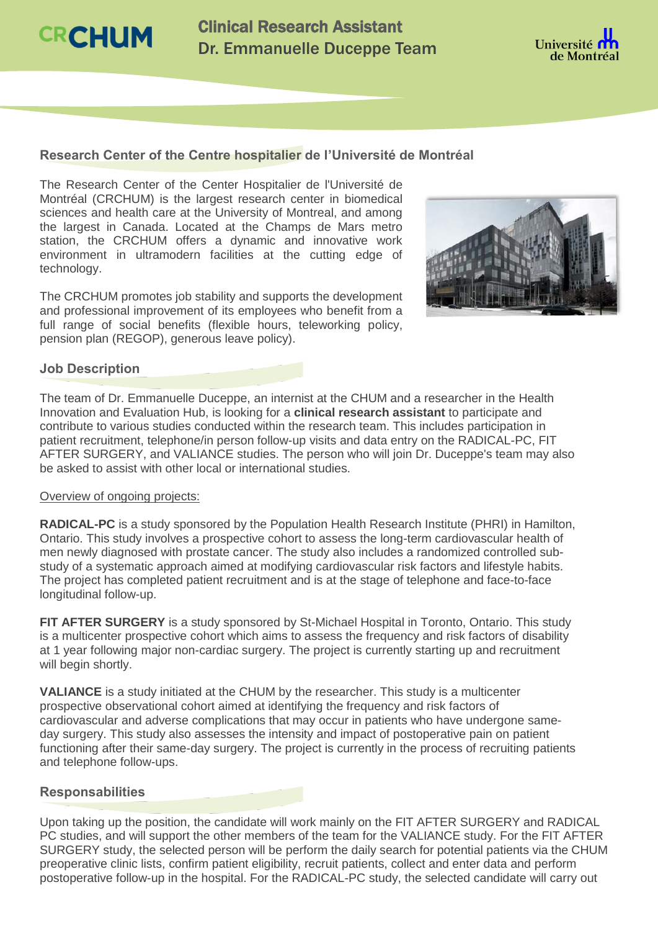**CRCHUM** 

Clinical Research Assistant Dr. Emmanuelle Duceppe Team



## **Research Center of the Centre hospitalier de l'Université de Montréal**

The Research Center of the Center Hospitalier de l'Université de Montréal (CRCHUM) is the largest research center in biomedical sciences and health care at the University of Montreal, and among the largest in Canada. Located at the Champs de Mars metro station, the CRCHUM offers a dynamic and innovative work environment in ultramodern facilities at the cutting edge of technology.

The CRCHUM promotes job stability and supports the development and professional improvement of its employees who benefit from a full range of social benefits (flexible hours, teleworking policy, pension plan (REGOP), generous leave policy).



## **Job Description**

The team of Dr. Emmanuelle Duceppe, an internist at the CHUM and a researcher in the Health Innovation and Evaluation Hub, is looking for a **clinical research assistant** to participate and contribute to various studies conducted within the research team. This includes participation in patient recruitment, telephone/in person follow-up visits and data entry on the RADICAL-PC, FIT AFTER SURGERY, and VALIANCE studies. The person who will join Dr. Duceppe's team may also be asked to assist with other local or international studies.

#### Overview of ongoing projects:

**RADICAL-PC** is a study sponsored by the Population Health Research Institute (PHRI) in Hamilton, Ontario. This study involves a prospective cohort to assess the long-term cardiovascular health of men newly diagnosed with prostate cancer. The study also includes a randomized controlled substudy of a systematic approach aimed at modifying cardiovascular risk factors and lifestyle habits. The project has completed patient recruitment and is at the stage of telephone and face-to-face longitudinal follow-up.

**FIT AFTER SURGERY** is a study sponsored by St-Michael Hospital in Toronto, Ontario. This study is a multicenter prospective cohort which aims to assess the frequency and risk factors of disability at 1 year following major non-cardiac surgery. The project is currently starting up and recruitment will begin shortly.

**VALIANCE** is a study initiated at the CHUM by the researcher. This study is a multicenter prospective observational cohort aimed at identifying the frequency and risk factors of cardiovascular and adverse complications that may occur in patients who have undergone sameday surgery. This study also assesses the intensity and impact of postoperative pain on patient functioning after their same-day surgery. The project is currently in the process of recruiting patients and telephone follow-ups.

### **Responsabilities**

Upon taking up the position, the candidate will work mainly on the FIT AFTER SURGERY and RADICAL PC studies, and will support the other members of the team for the VALIANCE study. For the FIT AFTER SURGERY study, the selected person will be perform the daily search for potential patients via the CHUM preoperative clinic lists, confirm patient eligibility, recruit patients, collect and enter data and perform postoperative follow-up in the hospital. For the RADICAL-PC study, the selected candidate will carry out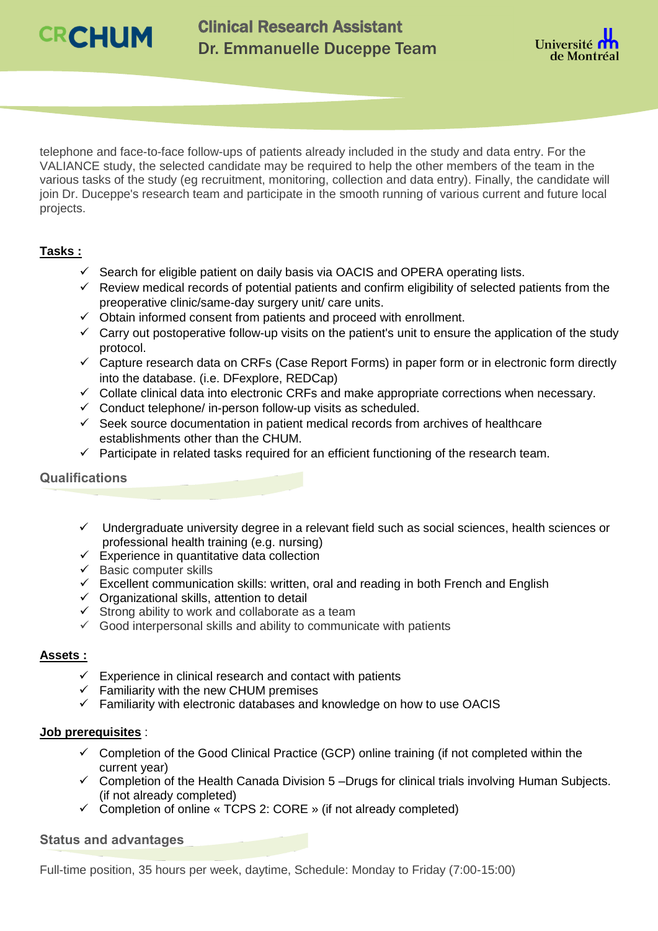



telephone and face-to-face follow-ups of patients already included in the study and data entry. For the VALIANCE study, the selected candidate may be required to help the other members of the team in the various tasks of the study (eg recruitment, monitoring, collection and data entry). Finally, the candidate will join Dr. Duceppe's research team and participate in the smooth running of various current and future local projects.

# **Tasks :**

- $\checkmark$  Search for eligible patient on daily basis via OACIS and OPERA operating lists.
- $\checkmark$  Review medical records of potential patients and confirm eligibility of selected patients from the preoperative clinic/same-day surgery unit/ care units.
- $\sim$  Obtain informed consent from patients and proceed with enrollment.
- $\checkmark$  Carry out postoperative follow-up visits on the patient's unit to ensure the application of the study protocol.
- $\checkmark$  Capture research data on CRFs (Case Report Forms) in paper form or in electronic form directly into the database. (i.e. DFexplore, REDCap)
- $\checkmark$  Collate clinical data into electronic CRFs and make appropriate corrections when necessary.
- $\checkmark$  Conduct telephone/ in-person follow-up visits as scheduled.
- $\checkmark$  Seek source documentation in patient medical records from archives of healthcare establishments other than the CHUM.
- $\checkmark$  Participate in related tasks required for an efficient functioning of the research team.

# **Qualifications**

- $\checkmark$  Undergraduate university degree in a relevant field such as social sciences, health sciences or professional health training (e.g. nursing)
- $\checkmark$  Experience in quantitative data collection
- $\checkmark$  Basic computer skills
- $\checkmark$  Excellent communication skills: written, oral and reading in both French and English
- $\checkmark$  Organizational skills, attention to detail
- $\checkmark$  Strong ability to work and collaborate as a team
- $\checkmark$  Good interpersonal skills and ability to communicate with patients

#### **Assets :**

- $\checkmark$  Experience in clinical research and contact with patients
- $\checkmark$  Familiarity with the new CHUM premises
- $\checkmark$  Familiarity with electronic databases and knowledge on how to use OACIS

#### **Job prerequisites** :

- $\checkmark$  Completion of the Good Clinical Practice (GCP) online training (if not completed within the current year)
- $\checkmark$  Completion of the Health Canada Division 5 –Drugs for clinical trials involving Human Subjects. (if not already completed)
- $\checkmark$  Completion of online « TCPS 2: CORE » (if not already completed)

## **Status and advantages**

Full-time position, 35 hours per week, daytime, Schedule: Monday to Friday (7:00-15:00)